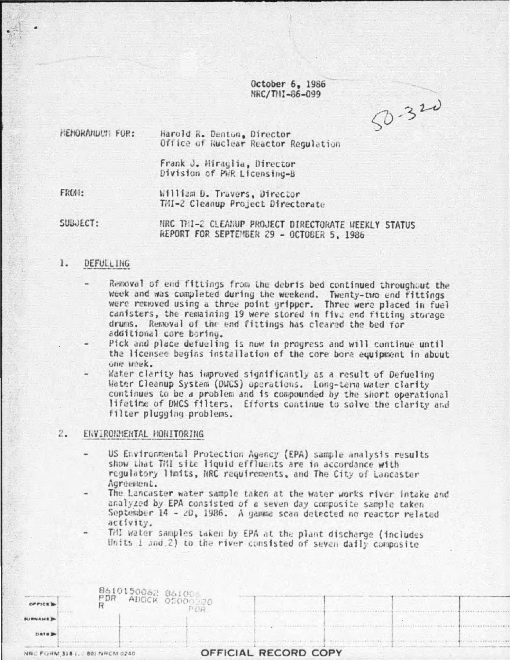October 6, 1986 NRC/THI-86-099

 $50 - 320$ 

**MEMORANDUM: FOR:** Harold R. Denton, Director Office of Nuclear Reactor Regulation

> Frank J. Miraglia, Director Division of PWR Licensing-B

FROM:

William D. Travers, Director TMI-2 Cleanup Project Directorate

SUBJECT:

MRC THI-2 CLEANUP PROJECT DIRECTORATE WEEKLY STATUS REPORT FOR SEPTEMBER 29 - OCTOBER 5, 1986

#### 1. DEFULLING

- Removal of end fittings from the debris bed continued throughout the week and was completed during the weekend. Twenty-two end fittings were removed using a three point gripper. Three were placed in fuel canisters, the remaining 19 were stored in five end fitting storage drums. Removal of the end fittings has cleared the bed for additional core boring.
- Pick and place defueling is now in progress and will continue until the licensee begins installation of the core bore equipment in about one week.
- Water clarity has improved significantly as a result of Defueling Water Cleanup System (DWCS) operations. Long-term water clarity continues to be a problem and is compounded by the short operational lifetime of DWCS filters. Efforts continue to solve the clarity and filter plugging problems.

#### $2.$ ENVIRONMENTAL HONITORING

- US Environmental Protection Agency (EPA) sample analysis results show that TMI site liquid effluents are in accordance with regulatory limits, NRC requirements, and The City of Lancaster Agreement.
- The Lancaster water sample taken at the water works river intake and analyzed by EPA consisted of a seven day composite sample taken September 14 - 20, 1986. A gamma scan detected no reactor related activity.
- Till water samples taken by EPA at the plant discharge (includes Units 1 and 2) to the river consisted of seven daily composite

|                         | 8610150062 861006<br>PDR |                                                                                  |
|-------------------------|--------------------------|----------------------------------------------------------------------------------|
| <b>BURNAME</b>          |                          |                                                                                  |
| DATE 3                  |                          | The most recorded with the state of the control of the control of the control of |
| NR<br><b>FORM 318 L</b> | 80) NRCM 0240            | OFFICIAL RECORD COPY                                                             |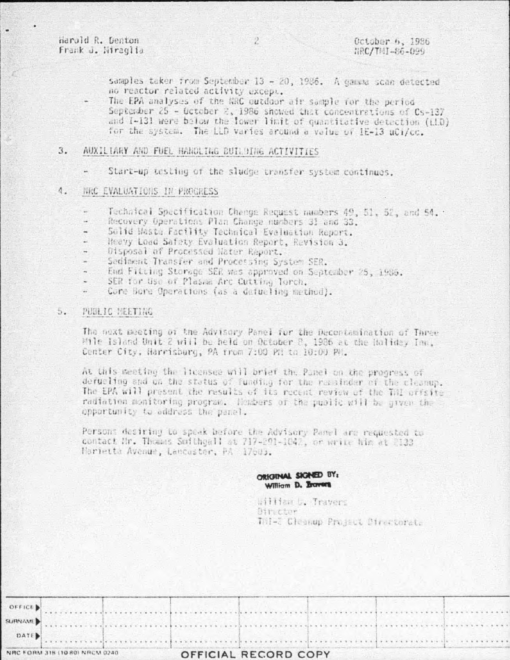Harold R. Denton Frank J. Hiraglia

samples taker from September 13 - 20, 1986. A gamma scan detected no reactor related activity except.

The EPA analyses of the NRC outdoor air sample for the period September 25 - October 2, 1986 showed that concentrations of Cs-137 and I-131 were below the lower limit of quantitative detection (i.1D) for the system. The LLD varies around a value of IE-13 uCi/cc.

## AUXILIARY AND FUEL HANDLING BUILDING ACTIVITIES 3.

Start-up testing of the sludge transfer system continues.

### $\Lambda$ . NRC EVALUATIONS IN PROCRESS

- Technical Specification Change Request numbers 49, 51, 52, and 54.
- Recovery Operations Plan Change numbers 31 and 33.
- Solid Maste Facility Technical Evaluation Report.
- Heavy Load Safety Evaluation Report, Revision 3.
- Oisposal of Processed Nater Report.
- Sediment Transfer and Processing System SER.
- End Fitting Storage SER was approved on September 25, 1986.
- SER for Use of Plasma Arc Cutting Torch.
- Core Bore Operations (as a defuciing mathod).

## PUBLIC MEETING 5.

The next meeting of the Advisory Panel for the Decentamination of Three Mile Island Unit 2 will be held on October 2, 1986 at the Holiday Inc. Center City. Harrisburg, PA from 7:00 PH to 10:00 PH.

At this meeting the licensee will brief the Punel on the progress of defuciing and un the status of funding for the reachder of the cleanup. The EPA will present the results of its recent review of the TAI offsite radiation monitoring program. Hembers of the public will be given the opportunity to address the panel.

Persons desiring to speak before the Advisory Panel are requested to contact Mr. Thomas Smithgall at 717-291-1042, or write him at 2133 Harietta Avenue, Lancaster, PA 17003.

# ORIGINAL SIGNED BY: William D. Bavers

William L. Travers Oir cter This Cleanup Project Directorate

| DATE                                                                                                                                                                                                                                    |  |
|-----------------------------------------------------------------------------------------------------------------------------------------------------------------------------------------------------------------------------------------|--|
| SURNAME                                                                                                                                                                                                                                 |  |
| OFFICE<br>$-$ . The contract of the contract of the contract of the contract of the contract of the contract of the contract of the contract of the contract of the contract of the contract of the contract of the contract of the con |  |